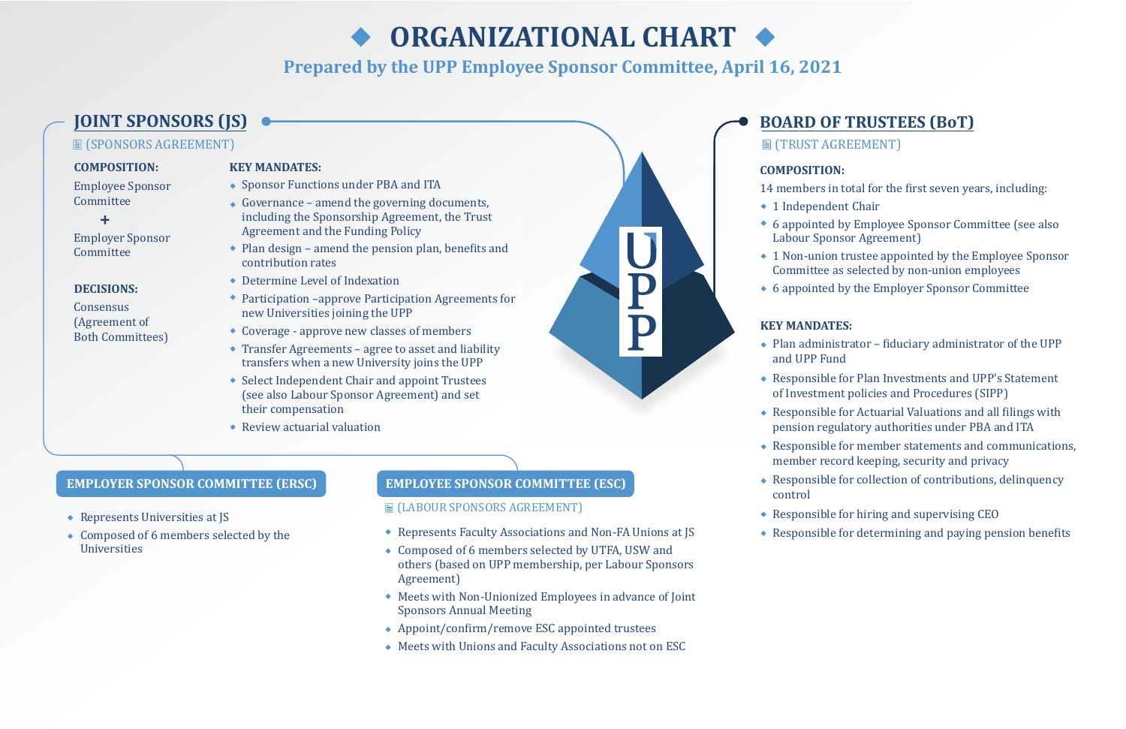

## **COMPOSITION:**

Employee Sponsor Committee

Employer Sponsor Committee

# **COMPOSITION:**

- 14 members in total for the first seven years, including: ◆ 1 Independent Chair
- 6 appointed by Employee Sponsor Committee (see also Labour Sponsor Agreement)
- 1 Non-union trustee appointed by the Employee Sponsor Committee as selected by non-union employees
- 

6 appointed by the Employer Sponsor Committee

- $\triangle$  Responsible for Actuarial Valuations and all filings with pension regulatory authorities under PBA and ITA
- Responsible for member statements and communications, member record keeping, security and privacy
- Responsible for collection of contributions, delinquency
- Responsible for hiring and supervising CEO
- $\triangle$  Responsible for determining and paying pension benefits

# **KEY MANDATES:**

- ◆ Sponsor Functions under PBA and ITA
- $\triangleleft$  Governance amend the governing documents, including the Sponsorship Agreement, the Trust Agreement and the Funding Policy
- $\bullet$  Plan design amend the pension plan, benefits and contribution rates
- Determine Level of Indexation
- Participation –approve Participation Agreements for new Universities joining the UPP
- Coverage approve new classes of members
- Transfer Agreements agree to asset and liability transfers when a new University joins the UPP
- Select Independent Chair and appoint Trustees (see also Labour Sponsor Agreement) and set their compensation
- Review actuarial valuation
- $\bullet$  Plan administrator fiduciary administrator of the UPP and UPP Fund
- Responsible for Plan Investments and UPP's Statement of Investment policies and Procedures (SIPP)
- 
- 
- control
- 
- 

# **■ (TRUST AGREEMENT)**

**Consensus** (Agreement of Both Committees)

- $\triangle$  Represents Universities at JS
- Composed of 6 members selected by the Universities

# **KEY MANDATES:**

- **(LABOUR SPONSORS AGREEMENT)**
- Represents Faculty Associations and Non-FA Unions at JS
- Composed of 6 members selected by UTFA, USW and others (based on UPP membership, per Labour Sponsors Agreement)
- Meets with Non-Unionized Employees in advance of Joint Sponsors Annual Meeting
- $\leftrightarrow$  Appoint/confirm/remove ESC appointed trustees
- Meets with Unions and Faculty Associations not on ESC

### **DECISIONS:**

÷

# **Prepared by the UPP Employee Sponsor Committee, April 16, 2021**

# **圖 (SPONSORS AGREEMENT)**

# **ORGANIZATIONAL CHART**

# **EMPLOYER SPONSOR COMMITTEE (ERSC)**

# **EMPLOYEE SPONSOR COMMITTEE (ESC)**